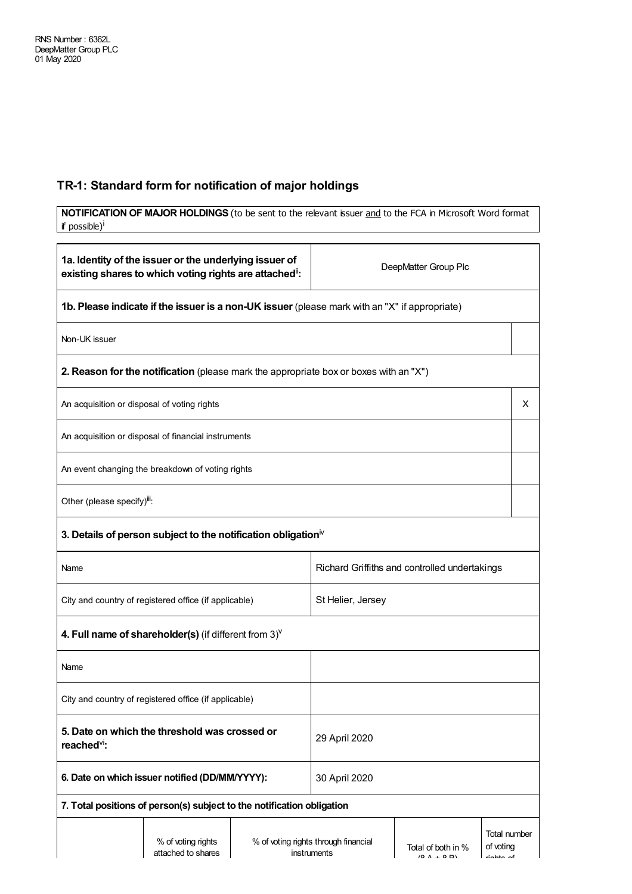## **TR-1: Standard form for notification of major holdings**

| NOTIFICATION OF MAJOR HOLDINGS (to be sent to the relevant issuer and to the FCA in Microsoft Word format<br>if possible) <sup>i</sup> |                                                                                       |                                               |                                                     |                                           |                                            |   |
|----------------------------------------------------------------------------------------------------------------------------------------|---------------------------------------------------------------------------------------|-----------------------------------------------|-----------------------------------------------------|-------------------------------------------|--------------------------------------------|---|
|                                                                                                                                        |                                                                                       |                                               |                                                     |                                           |                                            |   |
| 1a. Identity of the issuer or the underlying issuer of<br>existing shares to which voting rights are attached":                        |                                                                                       |                                               | DeepMatter Group Plc                                |                                           |                                            |   |
| 1b. Please indicate if the issuer is a non-UK issuer (please mark with an "X" if appropriate)                                          |                                                                                       |                                               |                                                     |                                           |                                            |   |
| Non-UK issuer                                                                                                                          |                                                                                       |                                               |                                                     |                                           |                                            |   |
|                                                                                                                                        | 2. Reason for the notification (please mark the appropriate box or boxes with an "X") |                                               |                                                     |                                           |                                            |   |
| An acquisition or disposal of voting rights                                                                                            |                                                                                       |                                               |                                                     |                                           |                                            | X |
|                                                                                                                                        | An acquisition or disposal of financial instruments                                   |                                               |                                                     |                                           |                                            |   |
|                                                                                                                                        | An event changing the breakdown of voting rights                                      |                                               |                                                     |                                           |                                            |   |
|                                                                                                                                        | Other (please specify) <sup>iii</sup> :                                               |                                               |                                                     |                                           |                                            |   |
|                                                                                                                                        | 3. Details of person subject to the notification obligation $\mathbb {V}$             |                                               |                                                     |                                           |                                            |   |
| Name                                                                                                                                   |                                                                                       | Richard Griffiths and controlled undertakings |                                                     |                                           |                                            |   |
| City and country of registered office (if applicable)                                                                                  |                                                                                       |                                               | St Helier, Jersey                                   |                                           |                                            |   |
|                                                                                                                                        | 4. Full name of shareholder(s) (if different from $3$ ) $V$                           |                                               |                                                     |                                           |                                            |   |
| Name                                                                                                                                   |                                                                                       |                                               |                                                     |                                           |                                            |   |
| City and country of registered office (if applicable)                                                                                  |                                                                                       |                                               |                                                     |                                           |                                            |   |
| 5. Date on which the threshold was crossed or<br>29 April 2020<br>reached <sup>vi</sup> :                                              |                                                                                       |                                               |                                                     |                                           |                                            |   |
| 6. Date on which issuer notified (DD/MM/YYYY):                                                                                         |                                                                                       | 30 April 2020                                 |                                                     |                                           |                                            |   |
|                                                                                                                                        | 7. Total positions of person(s) subject to the notification obligation                |                                               |                                                     |                                           |                                            |   |
|                                                                                                                                        | % of voting rights<br>attached to shares                                              |                                               | % of voting rights through financial<br>instruments | Total of both in %<br>$(0 \land \cdot 0)$ | Total number<br>of voting<br>محمد المعاملة |   |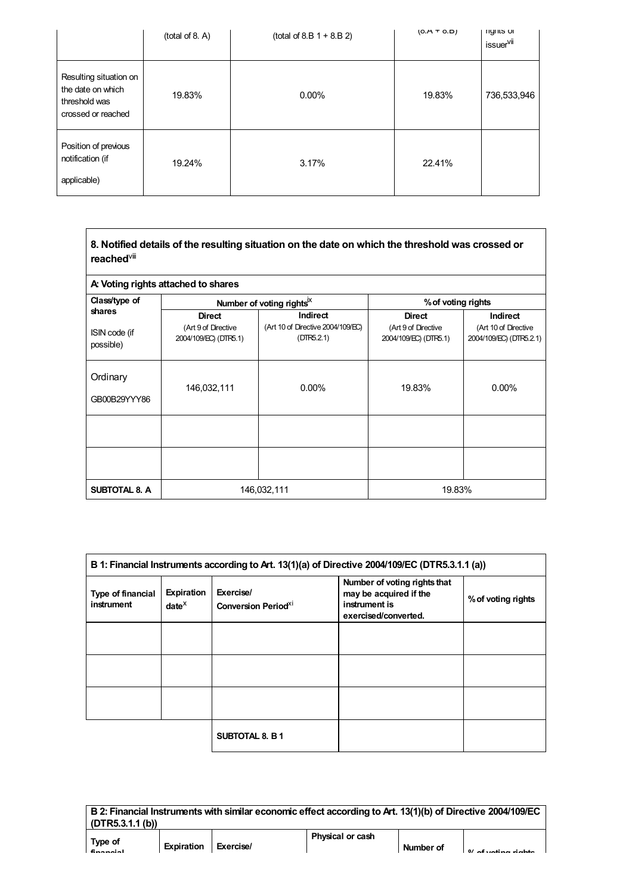|                                                                                    | (total of 8. A) | $(total of 8.B 1 + 8.B 2)$ | $(0.A + 0.B)$ | <b>ngnus</b> or<br>issuer <sup>vii</sup> |
|------------------------------------------------------------------------------------|-----------------|----------------------------|---------------|------------------------------------------|
| Resulting situation on<br>the date on which<br>threshold was<br>crossed or reached | 19.83%          | $0.00\%$                   | 19.83%        | 736,533,946                              |
| Position of previous<br>notification (if<br>applicable)                            | 19.24%          | 3.17%                      | 22.41%        |                                          |

| 8. Notified details of the resulting situation on the date on which the threshold was crossed or |
|--------------------------------------------------------------------------------------------------|
| reached <sup>∨⊪</sup>                                                                            |

| A: Voting rights attached to shares  |                                                               |                                                                    |                                                               |                                                             |  |
|--------------------------------------|---------------------------------------------------------------|--------------------------------------------------------------------|---------------------------------------------------------------|-------------------------------------------------------------|--|
| Class/type of                        |                                                               | Number of voting rights <sup>ix</sup>                              | % of voting rights                                            |                                                             |  |
| shares<br>ISIN code (if<br>possible) | <b>Direct</b><br>(Art 9 of Directive<br>2004/109/EC) (DTR5.1) | <b>Indirect</b><br>(Art 10 of Directive 2004/109/EC)<br>(DTR5.2.1) | <b>Direct</b><br>(Art 9 of Directive<br>2004/109/EC) (DTR5.1) | Indirect<br>(Art 10 of Directive<br>2004/109/EC) (DTR5.2.1) |  |
| Ordinary<br>GB00B29YYY86             | 146,032,111                                                   | $0.00\%$                                                           | 19.83%                                                        | $0.00\%$                                                    |  |
|                                      |                                                               |                                                                    |                                                               |                                                             |  |
|                                      |                                                               |                                                                    |                                                               |                                                             |  |
| <b>SUBTOTAL 8. A</b>                 | 146,032,111                                                   |                                                                    | 19.83%                                                        |                                                             |  |

| B 1: Financial Instruments according to Art. 13(1)(a) of Directive 2004/109/EC (DTR5.3.1.1 (a)) |                             |                                                     |                                                                                                 |                    |
|-------------------------------------------------------------------------------------------------|-----------------------------|-----------------------------------------------------|-------------------------------------------------------------------------------------------------|--------------------|
| Type of financial<br>instrument                                                                 | Expiration<br>$date^{\chi}$ | Exercise/<br><b>Conversion Period</b> <sup>XI</sup> | Number of voting rights that<br>may be acquired if the<br>instrument is<br>exercised/converted. | % of voting rights |
|                                                                                                 |                             |                                                     |                                                                                                 |                    |
|                                                                                                 |                             |                                                     |                                                                                                 |                    |
|                                                                                                 |                             |                                                     |                                                                                                 |                    |
|                                                                                                 |                             | <b>SUBTOTAL 8. B1</b>                               |                                                                                                 |                    |

**B 2: Financial Instrumentswith similar economic effect according to Art. 13(1)(b) of Directive 2004/109/EC (DTR5.3.1.1 (b)) Type of Physical or cash**

**financial**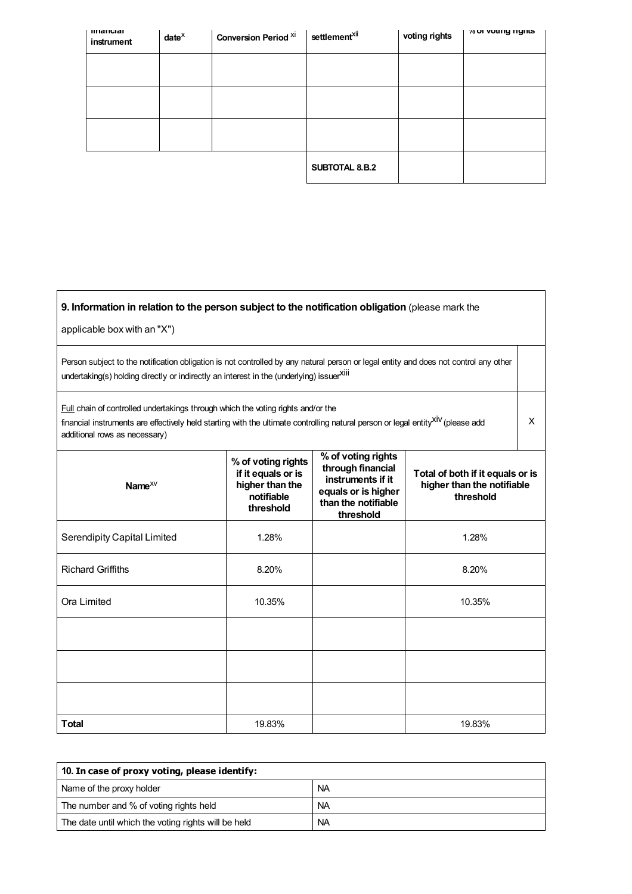| mnancial<br>instrument | $date^{\chi}$ | <b>Conversion Period Xi</b> | settlement <sup>xii</sup> | voting rights | % or voung rights |
|------------------------|---------------|-----------------------------|---------------------------|---------------|-------------------|
|                        |               |                             |                           |               |                   |
|                        |               |                             |                           |               |                   |
|                        |               |                             |                           |               |                   |
|                        |               |                             | SUBTOTAL 8.B.2            |               |                   |

| 9. Information in relation to the person subject to the notification obligation (please mark the<br>applicable box with an "X")                                                                                                                                         |                                                                                        |                                                                                                                         |                                                                             |  |  |  |
|-------------------------------------------------------------------------------------------------------------------------------------------------------------------------------------------------------------------------------------------------------------------------|----------------------------------------------------------------------------------------|-------------------------------------------------------------------------------------------------------------------------|-----------------------------------------------------------------------------|--|--|--|
| Person subject to the notification obligation is not controlled by any natural person or legal entity and does not control any other<br>undertaking(s) holding directly or indirectly an interest in the (underlying) issuerXili                                        |                                                                                        |                                                                                                                         |                                                                             |  |  |  |
| <b>Full</b> chain of controlled undertakings through which the voting rights and/or the<br>financial instruments are effectively held starting with the ultimate controlling natural person or legal entity <sup>XIV</sup> (please add<br>additional rows as necessary) |                                                                                        |                                                                                                                         |                                                                             |  |  |  |
| Name $^{XV}$                                                                                                                                                                                                                                                            | % of voting rights<br>if it equals or is<br>higher than the<br>notifiable<br>threshold | % of voting rights<br>through financial<br>instruments if it<br>equals or is higher<br>than the notifiable<br>threshold | Total of both if it equals or is<br>higher than the notifiable<br>threshold |  |  |  |
| <b>Serendipity Capital Limited</b>                                                                                                                                                                                                                                      | 1.28%                                                                                  |                                                                                                                         | 1.28%                                                                       |  |  |  |
| <b>Richard Griffiths</b>                                                                                                                                                                                                                                                | 8.20%                                                                                  |                                                                                                                         | 8.20%                                                                       |  |  |  |
| Ora Limited                                                                                                                                                                                                                                                             | 10.35%                                                                                 |                                                                                                                         | 10.35%                                                                      |  |  |  |
|                                                                                                                                                                                                                                                                         |                                                                                        |                                                                                                                         |                                                                             |  |  |  |
|                                                                                                                                                                                                                                                                         |                                                                                        |                                                                                                                         |                                                                             |  |  |  |
|                                                                                                                                                                                                                                                                         |                                                                                        |                                                                                                                         |                                                                             |  |  |  |
| <b>Total</b>                                                                                                                                                                                                                                                            | 19.83%                                                                                 |                                                                                                                         | 19.83%                                                                      |  |  |  |

| 10. In case of proxy voting, please identify:       |           |  |  |
|-----------------------------------------------------|-----------|--|--|
| Name of the proxy holder                            | <b>NA</b> |  |  |
| The number and % of voting rights held              | <b>NA</b> |  |  |
| The date until which the voting rights will be held | <b>NA</b> |  |  |